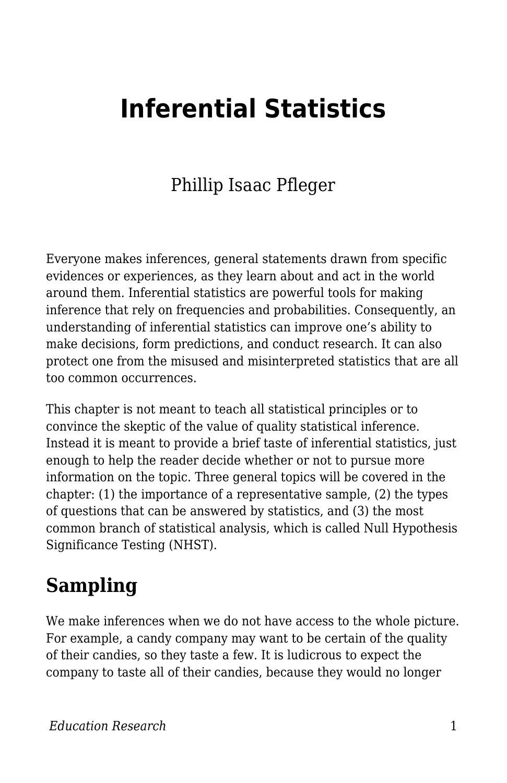## **Inferential Statistics**

#### Phillip Isaac Pfleger

Everyone makes inferences, general statements drawn from specific evidences or experiences, as they learn about and act in the world around them. Inferential statistics are powerful tools for making inference that rely on frequencies and probabilities. Consequently, an understanding of inferential statistics can improve one's ability to make decisions, form predictions, and conduct research. It can also protect one from the misused and misinterpreted statistics that are all too common occurrences.

This chapter is not meant to teach all statistical principles or to convince the skeptic of the value of quality statistical inference. Instead it is meant to provide a brief taste of inferential statistics, just enough to help the reader decide whether or not to pursue more information on the topic. Three general topics will be covered in the chapter: (1) the importance of a representative sample, (2) the types of questions that can be answered by statistics, and (3) the most common branch of statistical analysis, which is called Null Hypothesis Significance Testing (NHST).

#### **Sampling**

We make inferences when we do not have access to the whole picture. For example, a candy company may want to be certain of the quality of their candies, so they taste a few. It is ludicrous to expect the company to taste all of their candies, because they would no longer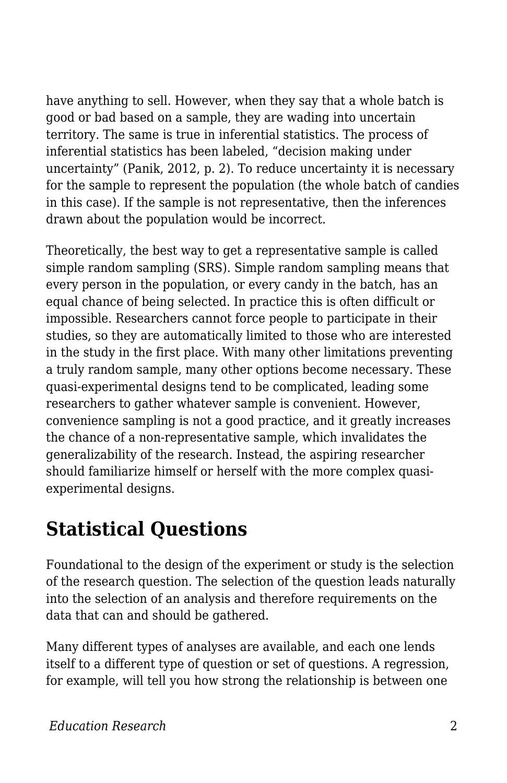have anything to sell. However, when they say that a whole batch is good or bad based on a sample, they are wading into uncertain territory. The same is true in inferential statistics. The process of inferential statistics has been labeled, "decision making under uncertainty" (Panik, 2012, p. 2). To reduce uncertainty it is necessary for the sample to represent the population (the whole batch of candies in this case). If the sample is not representative, then the inferences drawn about the population would be incorrect.

Theoretically, the best way to get a representative sample is called simple random sampling (SRS). Simple random sampling means that every person in the population, or every candy in the batch, has an equal chance of being selected. In practice this is often difficult or impossible. Researchers cannot force people to participate in their studies, so they are automatically limited to those who are interested in the study in the first place. With many other limitations preventing a truly random sample, many other options become necessary. These quasi-experimental designs tend to be complicated, leading some researchers to gather whatever sample is convenient. However, convenience sampling is not a good practice, and it greatly increases the chance of a non-representative sample, which invalidates the generalizability of the research. Instead, the aspiring researcher should familiarize himself or herself with the more complex quasiexperimental designs.

#### **Statistical Questions**

Foundational to the design of the experiment or study is the selection of the research question. The selection of the question leads naturally into the selection of an analysis and therefore requirements on the data that can and should be gathered.

Many different types of analyses are available, and each one lends itself to a different type of question or set of questions. A regression, for example, will tell you how strong the relationship is between one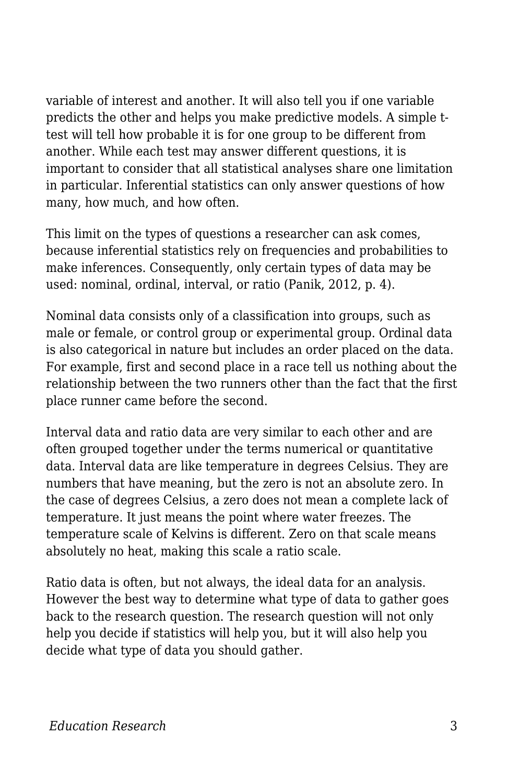variable of interest and another. It will also tell you if one variable predicts the other and helps you make predictive models. A simple ttest will tell how probable it is for one group to be different from another. While each test may answer different questions, it is important to consider that all statistical analyses share one limitation in particular. Inferential statistics can only answer questions of how many, how much, and how often.

This limit on the types of questions a researcher can ask comes, because inferential statistics rely on frequencies and probabilities to make inferences. Consequently, only certain types of data may be used: nominal, ordinal, interval, or ratio (Panik, 2012, p. 4).

Nominal data consists only of a classification into groups, such as male or female, or control group or experimental group. Ordinal data is also categorical in nature but includes an order placed on the data. For example, first and second place in a race tell us nothing about the relationship between the two runners other than the fact that the first place runner came before the second.

Interval data and ratio data are very similar to each other and are often grouped together under the terms numerical or quantitative data. Interval data are like temperature in degrees Celsius. They are numbers that have meaning, but the zero is not an absolute zero. In the case of degrees Celsius, a zero does not mean a complete lack of temperature. It just means the point where water freezes. The temperature scale of Kelvins is different. Zero on that scale means absolutely no heat, making this scale a ratio scale.

Ratio data is often, but not always, the ideal data for an analysis. However the best way to determine what type of data to gather goes back to the research question. The research question will not only help you decide if statistics will help you, but it will also help you decide what type of data you should gather.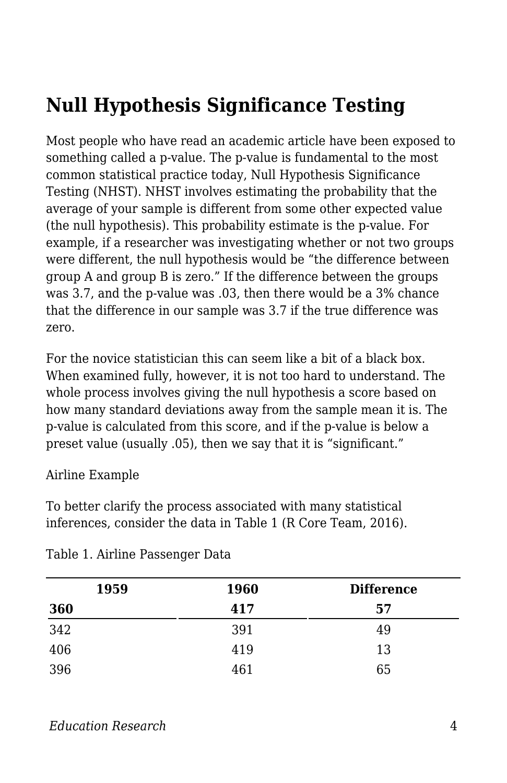### **Null Hypothesis Significance Testing**

Most people who have read an academic article have been exposed to something called a p-value. The p-value is fundamental to the most common statistical practice today, Null Hypothesis Significance Testing (NHST). NHST involves estimating the probability that the average of your sample is different from some other expected value (the null hypothesis). This probability estimate is the p-value. For example, if a researcher was investigating whether or not two groups were different, the null hypothesis would be "the difference between group A and group B is zero." If the difference between the groups was 3.7, and the p-value was .03, then there would be a 3% chance that the difference in our sample was 3.7 if the true difference was zero.

For the novice statistician this can seem like a bit of a black box. When examined fully, however, it is not too hard to understand. The whole process involves giving the null hypothesis a score based on how many standard deviations away from the sample mean it is. The p-value is calculated from this score, and if the p-value is below a preset value (usually .05), then we say that it is "significant."

#### Airline Example

To better clarify the process associated with many statistical inferences, consider the data in Table 1 (R Core Team, 2016).

| 1959 | <b>1960</b> | <b>Difference</b> |  |
|------|-------------|-------------------|--|
| 360  | 417         | 57                |  |
| 342  | 391         | 49                |  |
| 406  | 419         | 13                |  |
| 396  | 461         | 65                |  |

Table 1. Airline Passenger Data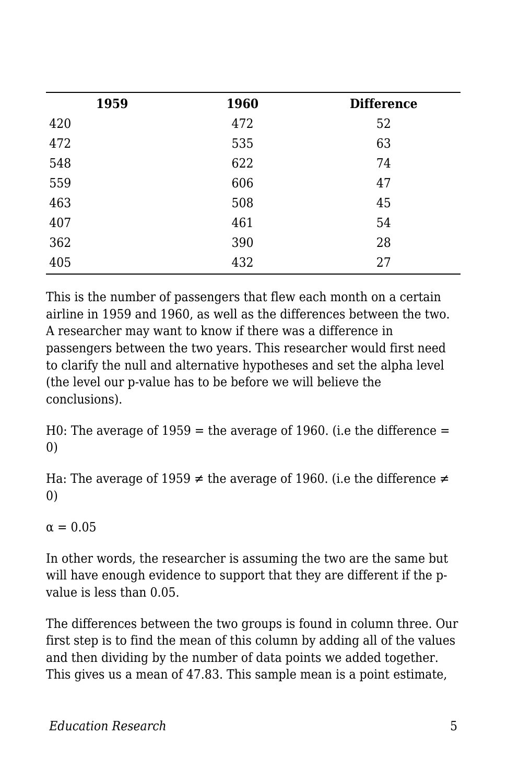| 1959 | 1960 | <b>Difference</b> |
|------|------|-------------------|
| 420  | 472  | 52                |
| 472  | 535  | 63                |
| 548  | 622  | 74                |
| 559  | 606  | 47                |
| 463  | 508  | 45                |
| 407  | 461  | 54                |
| 362  | 390  | 28                |
| 405  | 432  | 27                |
|      |      |                   |

This is the number of passengers that flew each month on a certain airline in 1959 and 1960, as well as the differences between the two. A researcher may want to know if there was a difference in passengers between the two years. This researcher would first need to clarify the null and alternative hypotheses and set the alpha level (the level our p-value has to be before we will believe the conclusions).

H0: The average of  $1959$  = the average of 1960. (i.e the difference = 0)

Ha: The average of 1959  $\neq$  the average of 1960. (i.e the difference  $\neq$ 0)

 $\alpha = 0.05$ 

In other words, the researcher is assuming the two are the same but will have enough evidence to support that they are different if the pvalue is less than 0.05.

The differences between the two groups is found in column three. Our first step is to find the mean of this column by adding all of the values and then dividing by the number of data points we added together. This gives us a mean of 47.83. This sample mean is a point estimate,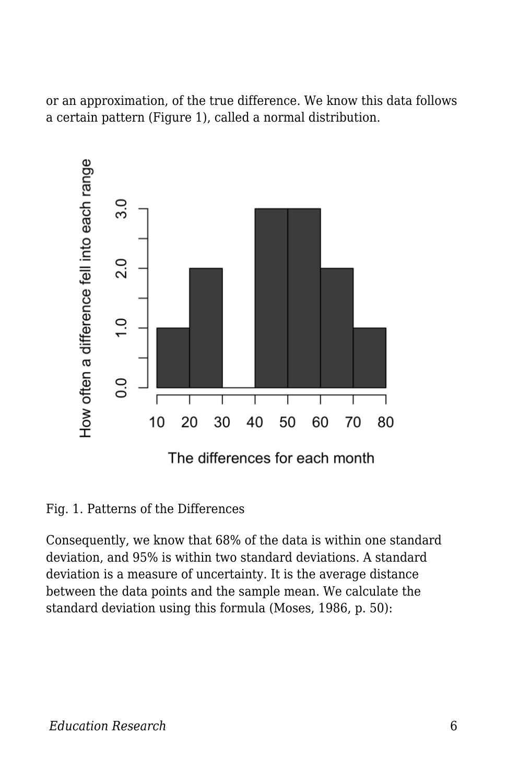or an approximation, of the true difference. We know this data follows a certain pattern (Figure 1), called a normal distribution.



Fig. 1. Patterns of the Differences

Consequently, we know that 68% of the data is within one standard deviation, and 95% is within two standard deviations. A standard deviation is a measure of uncertainty. It is the average distance between the data points and the sample mean. We calculate the standard deviation using this formula (Moses, 1986, p. 50):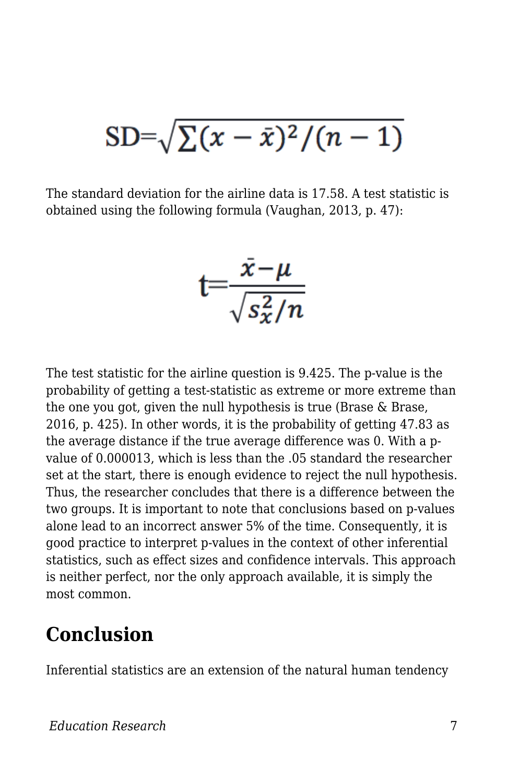# $SD = \sqrt{\sum (x - \bar{x})^2/(n-1)}$

The standard deviation for the airline data is 17.58. A test statistic is obtained using the following formula (Vaughan, 2013, p. 47):

$$
t = \frac{\bar{x} - \mu}{\sqrt{s_x^2/n}}
$$

The test statistic for the airline question is 9.425. The p-value is the probability of getting a test-statistic as extreme or more extreme than the one you got, given the null hypothesis is true (Brase & Brase, 2016, p. 425). In other words, it is the probability of getting 47.83 as the average distance if the true average difference was 0. With a pvalue of 0.000013, which is less than the .05 standard the researcher set at the start, there is enough evidence to reject the null hypothesis. Thus, the researcher concludes that there is a difference between the two groups. It is important to note that conclusions based on p-values alone lead to an incorrect answer 5% of the time. Consequently, it is good practice to interpret p-values in the context of other inferential statistics, such as effect sizes and confidence intervals. This approach is neither perfect, nor the only approach available, it is simply the most common.

#### **Conclusion**

Inferential statistics are an extension of the natural human tendency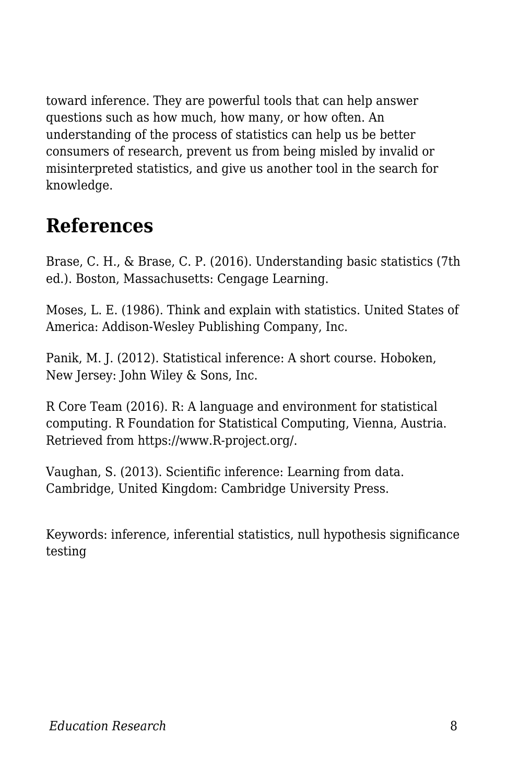toward inference. They are powerful tools that can help answer questions such as how much, how many, or how often. An understanding of the process of statistics can help us be better consumers of research, prevent us from being misled by invalid or misinterpreted statistics, and give us another tool in the search for knowledge.

#### **References**

Brase, C. H., & Brase, C. P. (2016). Understanding basic statistics (7th ed.). Boston, Massachusetts: Cengage Learning.

Moses, L. E. (1986). Think and explain with statistics. United States of America: Addison-Wesley Publishing Company, Inc.

Panik, M. J. (2012). Statistical inference: A short course. Hoboken, New Jersey: John Wiley & Sons, Inc.

R Core Team (2016). R: A language and environment for statistical computing. R Foundation for Statistical Computing, Vienna, Austria. Retrieved from https://www.R-project.org/.

Vaughan, S. (2013). Scientific inference: Learning from data. Cambridge, United Kingdom: Cambridge University Press.

Keywords: inference, inferential statistics, null hypothesis significance testing